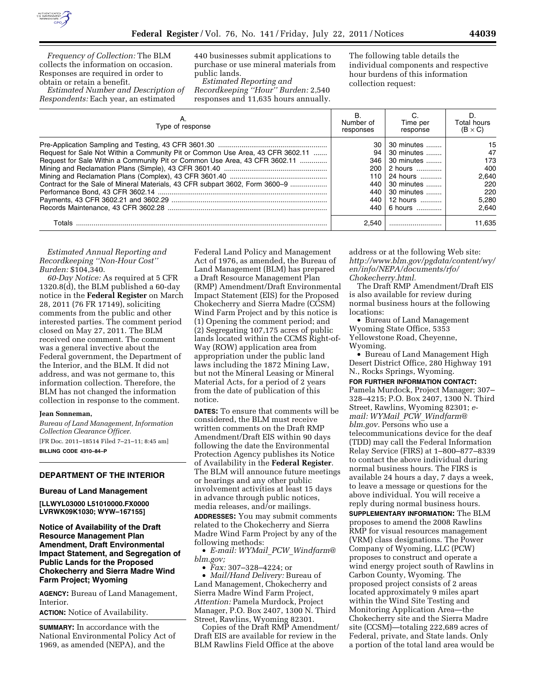

*Frequency of Collection:* The BLM collects the information on occasion. Responses are required in order to obtain or retain a benefit.

*Estimated Number and Description of Respondents:* Each year, an estimated

440 businesses submit applications to purchase or use mineral materials from public lands.

*Estimated Reporting and Recordkeeping ''Hour'' Burden:* 2,540 responses and 11,635 hours annually.

The following table details the individual components and respective hour burdens of this information collection request:

| Type of response                                                                                                                                             | В.<br>Number of<br>responses | C.<br>Time per<br>response | D<br>Total hours<br>$(B \times C)$ |
|--------------------------------------------------------------------------------------------------------------------------------------------------------------|------------------------------|----------------------------|------------------------------------|
|                                                                                                                                                              | 30<br>94                     | 30 minutes<br>30 minutes   | 15<br>47                           |
| Request for Sale Not Within a Community Pit or Common Use Area, 43 CFR 3602.11<br>Request for Sale Within a Community Pit or Common Use Area, 43 CFR 3602.11 |                              | 346 30 minutes             | 173                                |
|                                                                                                                                                              | 200                          | 2 hours                    | 400                                |
|                                                                                                                                                              |                              | 110   24 hours             | 2.640                              |
| Contract for the Sale of Mineral Materials, 43 CFR subpart 3602, Form 3600-9                                                                                 |                              | 440 30 minutes             | 220                                |
|                                                                                                                                                              | 440                          | $\vert$ 30 minutes         | 220                                |
|                                                                                                                                                              | 440                          | 12 hours                   | 5.280                              |
|                                                                                                                                                              |                              | 440 6 hours                | 2.640                              |
| Totals                                                                                                                                                       | 2.540                        |                            | 11.635                             |

*Estimated Annual Reporting and Recordkeeping ''Non-Hour Cost'' Burden:* \$104,340.

*60-Day Notice:* As required at 5 CFR 1320.8(d), the BLM published a 60-day notice in the **Federal Register** on March 28, 2011 (76 FR 17149), soliciting comments from the public and other interested parties. The comment period closed on May 27, 2011. The BLM received one comment. The comment was a general invective about the Federal government, the Department of the Interior, and the BLM. It did not address, and was not germane to, this information collection. Therefore, the BLM has not changed the information collection in response to the comment.

### **Jean Sonneman,**

*Bureau of Land Management, Information Collection Clearance Officer.* 

[FR Doc. 2011–18514 Filed 7–21–11; 8:45 am] **BILLING CODE 4310–84–P** 

# **DEPARTMENT OF THE INTERIOR**

#### **Bureau of Land Management**

**[LLWYL03000 L51010000.FX0000 LVRWK09K1030; WYW–167155]** 

**Notice of Availability of the Draft Resource Management Plan Amendment, Draft Environmental Impact Statement, and Segregation of Public Lands for the Proposed Chokecherry and Sierra Madre Wind Farm Project; Wyoming** 

**AGENCY:** Bureau of Land Management, Interior.

**ACTION:** Notice of Availability.

**SUMMARY:** In accordance with the National Environmental Policy Act of 1969, as amended (NEPA), and the

Federal Land Policy and Management Act of 1976, as amended, the Bureau of Land Management (BLM) has prepared a Draft Resource Management Plan (RMP) Amendment/Draft Environmental Impact Statement (EIS) for the Proposed Chokecherry and Sierra Madre (CCSM) Wind Farm Project and by this notice is (1) Opening the comment period; and (2) Segregating 107,175 acres of public lands located within the CCMS Right-of-Way (ROW) application area from appropriation under the public land laws including the 1872 Mining Law, but not the Mineral Leasing or Mineral Material Acts, for a period of 2 years from the date of publication of this notice.

**DATES:** To ensure that comments will be considered, the BLM must receive written comments on the Draft RMP Amendment/Draft EIS within 90 days following the date the Environmental Protection Agency publishes its Notice of Availability in the **Federal Register**. The BLM will announce future meetings or hearings and any other public involvement activities at least 15 days in advance through public notices, media releases, and/or mailings. **ADDRESSES:** You may submit comments related to the Chokecherry and Sierra

Madre Wind Farm Project by any of the following methods:

• *E-mail: WYMail*\_*PCW*\_*[Windfarm@](mailto:WYMail_PCW_Windfarm@blm.gov) [blm.gov;](mailto:WYMail_PCW_Windfarm@blm.gov)* 

• *Fax:* 307–328–4224; or

• *Mail/Hand Delivery:* Bureau of Land Management, Chokecherry and Sierra Madre Wind Farm Project, *Attention:* Pamela Murdock, Project Manager, P.O. Box 2407, 1300 N. Third Street, Rawlins, Wyoming 82301.

Copies of the Draft RMP Amendment/ Draft EIS are available for review in the BLM Rawlins Field Office at the above

address or at the following Web site: *[http://www.blm.gov/pgdata/content/wy/](http://www.blm.gov/pgdata/content/wy/en/info/NEPA/documents/rfo/Chokecherry.html) [en/info/NEPA/documents/rfo/](http://www.blm.gov/pgdata/content/wy/en/info/NEPA/documents/rfo/Chokecherry.html)  [Chokecherry.html.](http://www.blm.gov/pgdata/content/wy/en/info/NEPA/documents/rfo/Chokecherry.html)* 

The Draft RMP Amendment/Draft EIS is also available for review during normal business hours at the following locations:

• Bureau of Land Management Wyoming State Office, 5353 Yellowstone Road, Cheyenne, Wyoming.

• Bureau of Land Management High Desert District Office, 280 Highway 191 N., Rocks Springs, Wyoming.

**FOR FURTHER INFORMATION CONTACT:** 

Pamela Murdock, Project Manager; 307– 328–4215; P.O. Box 2407, 1300 N. Third Street, Rawlins, Wyoming 82301; *email: WYMail*\_*PCW*\_*[Windfarm@](mailto:WYMail_PCW_Windfarm@blm.gov) [blm.gov.](mailto:WYMail_PCW_Windfarm@blm.gov)* Persons who use a telecommunications device for the deaf (TDD) may call the Federal Information Relay Service (FIRS) at 1–800–877–8339 to contact the above individual during normal business hours. The FIRS is available 24 hours a day, 7 days a week, to leave a message or questions for the above individual. You will receive a reply during normal business hours.

**SUPPLEMENTARY INFORMATION:** The BLM proposes to amend the 2008 Rawlins RMP for visual resources management (VRM) class designations. The Power Company of Wyoming, LLC (PCW) proposes to construct and operate a wind energy project south of Rawlins in Carbon County, Wyoming. The proposed project consists of 2 areas located approximately 9 miles apart within the Wind Site Testing and Monitoring Application Area—the Chokecherry site and the Sierra Madre site (CCSM)—totaling 222,689 acres of Federal, private, and State lands. Only a portion of the total land area would be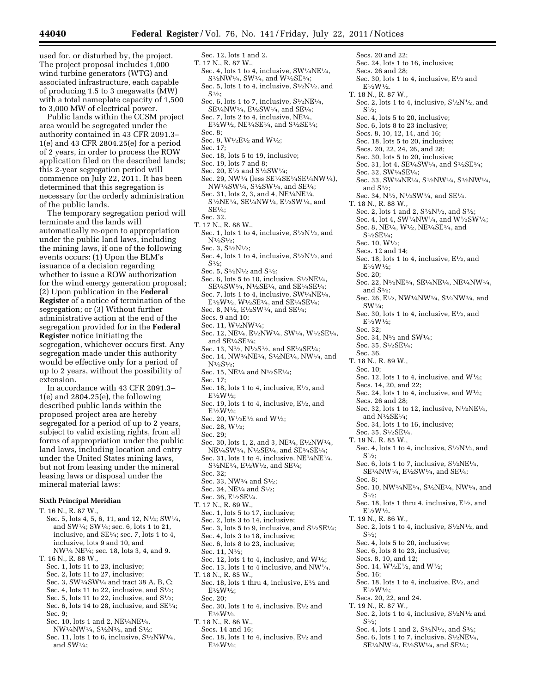used for, or disturbed by, the project. The project proposal includes 1,000 wind turbine generators (WTG) and associated infrastructure, each capable of producing 1.5 to 3 megawatts (MW) with a total nameplate capacity of 1,500 to 3,000 MW of electrical power.

Public lands within the CCSM project area would be segregated under the authority contained in 43 CFR 2091.3– 1(e) and 43 CFR 2804.25(e) for a period of 2 years, in order to process the ROW application filed on the described lands; this 2-year segregation period will commence on July 22, 2011. It has been determined that this segregation is necessary for the orderly administration of the public lands.

The temporary segregation period will terminate and the lands will automatically re-open to appropriation under the public land laws, including the mining laws, if one of the following events occurs: (1) Upon the BLM's issuance of a decision regarding whether to issue a ROW authorization for the wind energy generation proposal; (2) Upon publication in the **Federal Register** of a notice of termination of the segregation; or (3) Without further administrative action at the end of the segregation provided for in the **Federal Register** notice initiating the segregation, whichever occurs first. Any segregation made under this authority would be effective only for a period of up to 2 years, without the possibility of extension.

In accordance with 43 CFR 2091.3– 1(e) and 2804.25(e), the following described public lands within the proposed project area are hereby segregated for a period of up to 2 years, subject to valid existing rights, from all forms of appropriation under the public land laws, including location and entry under the United States mining laws, but not from leasing under the mineral leasing laws or disposal under the mineral material laws:

#### **Sixth Principal Meridian**

- T. 16 N., R. 87 W.,
- Sec. 5, lots 4, 5, 6, 11, and 12, N<sup>1</sup>/<sub>2</sub>; SW<sup>1</sup>/<sub>4</sub>. and SW1⁄4; SW1⁄4; sec. 6, lots 1 to 21, inclusive, and SE1⁄4; sec. 7, lots 1 to 4, inclusive, lots 9 and 10, and NW1⁄4 NE1⁄4; sec. 18, lots 3, 4, and 9.
- T. 16 N., R. 88 W.,
- Sec. 1, lots 11 to 23, inclusive;
- Sec. 2, lots 11 to 27, inclusive;
- Sec. 3, SW1⁄4SW1⁄4 and tract 38 A, B, C;
- Sec. 4, lots 11 to 22, inclusive, and  $S\frac{1}{2}$ ; Sec. 5, lots 11 to 22, inclusive, and  $S\frac{1}{2}$ ;
- Sec. 6, lots 14 to 28, inclusive, and SE $\frac{1}{4}$ ;
- Sec. 9;
- Sec. 10, lots 1 and 2, NE1⁄4NE1⁄4,
- NW<sup>1</sup>/<sub>4</sub>NW<sup>1</sup>/<sub>4</sub>, S<sup>1</sup>/<sub>2</sub>N<sup>1</sup>/<sub>2</sub>, and S<sup>1</sup>/<sub>2</sub>;
- Sec. 11, lots 1 to 6, inclusive,  $S<sup>1</sup>/2NW<sup>1</sup>/4$ , and SW1⁄4;
- Sec. 12, lots 1 and 2.
- T. 17 N., R. 87 W.,
- Sec. 4, lots 1 to 4, inclusive,  $SW<sup>1</sup>/<sub>4</sub>NE<sup>1</sup>/<sub>4</sub>$ , S1⁄2NW1⁄4, SW1⁄4, and W1⁄2SE1⁄4; Sec. 5, lots 1 to 4, inclusive,  $S\frac{1}{2}N\frac{1}{2}$ , and
- S1⁄2; Sec. 6, lots 1 to 7, inclusive,  $S<sup>1</sup>/2NE<sup>1</sup>/4$ ,
- SE1⁄4NW1⁄4, E1⁄2SW1⁄4, and SE1⁄4; Sec. 7, lots 2 to 4, inclusive,  $NE<sup>1</sup>/<sub>4</sub>$ ,
- E1⁄2W1⁄2, NE1⁄4SE1⁄4, and S1⁄2SE1⁄4; Sec. 8;
- Sec. 9,  $W^{1/2}E^{1/2}$  and  $W^{1/2}$ ;
- Sec. 17;
- Sec. 18, lots 5 to 19, inclusive;
- Sec. 19, lots 7 and 8;
- Sec. 20, E1⁄2 and S1⁄2SW1⁄4;
- Sec. 29, NW1⁄4 (less SE1⁄4SE1⁄4SE1⁄4NW1⁄4), NW<sup>1</sup>/<sub>4</sub>SW<sup>1</sup>/<sub>4</sub>, S<sup>1</sup>/<sub>2</sub>SW<sup>1</sup>/<sub>4</sub>, and SE<sup>1</sup>/<sub>4</sub>;
- Sec. 31, lots 2, 3, and 4, NE1⁄4NE1⁄4, S1⁄2NE1⁄4, SE1⁄4NW1⁄4, E1⁄2SW1⁄4, and SE1⁄4;
- Sec. 32.
- T. 17 N., R. 88 W.,
	- Sec. 1, lots 1 to 4, inclusive,  $S\frac{1}{2}N\frac{1}{2}$ , and N1⁄2S1⁄2;
- Sec. 3,  $S^{1/2}N^{1/2}$ ;
- Sec. 4, lots 1 to 4, inclusive,  $S\frac{1}{2}N\frac{1}{2}$ , and  $S^{1/2}$ :
- Sec. 5,  $S\frac{1}{2}N\frac{1}{2}$  and  $S\frac{1}{2}$ ;
- Sec. 6, lots 5 to 10, inclusive, S1⁄2NE1⁄4, SE1⁄4SW1⁄4, N1⁄2SE1⁄4, and SE1⁄4SE1⁄4;
- Sec. 7, lots 1 to 4, inclusive, SW1⁄4NE1⁄4, E1⁄2W1⁄2, W1⁄2SE1⁄4, and SE1⁄4SE1⁄4;
- Sec. 8, N<sup>1</sup>/<sub>2</sub>, E<sup>1</sup>/<sub>2</sub>SW<sup>1</sup>/<sub>4</sub>, and SE<sup>1</sup>/<sub>4</sub>;
- Secs. 9 and 10;
- Sec. 11, W1⁄2NW1⁄4;
- Sec. 12, NE1⁄4, E1⁄2NW1⁄4, SW1⁄4, W1⁄2SE1⁄4, and SE1⁄4SE1⁄4;
- Sec. 13, N<sup>1</sup>/<sub>2</sub>, N<sup>1</sup>/<sub>2</sub>S<sup>1</sup>/<sub>2</sub>, and SE<sup>1</sup>/<sub>4</sub>SE<sup>1</sup>/<sub>4</sub>; Sec. 14, NW1⁄4NE1⁄4, S1⁄2NE1⁄4, NW1⁄4, and  $N^{1/2}S^{1/2}$ ;
- Sec. 15, NE<sup>1</sup>/<sub>4</sub> and N<sup>1</sup>/<sub>2</sub>SE<sup>1</sup>/<sub>4</sub>;
- Sec. 17;
- Sec. 18, lots 1 to 4, inclusive,  $E\frac{1}{2}$ , and E1⁄2W1⁄2;
- Sec. 19, lots 1 to 4, inclusive,  $E\frac{1}{2}$ , and E1⁄2W1⁄2;
- Sec. 20, W1⁄2E1⁄2 and W1⁄2;
- Sec. 28, W1⁄2;
- Sec. 29;
- Sec. 30, lots 1, 2, and 3, NE1⁄4, E1⁄2NW1⁄4, NE1⁄4SW1⁄4, N1⁄2SE1⁄4, and SE1⁄4SE1⁄4; Sec. 31, lots 1 to 4, inclusive, NE1⁄4NE1⁄4,
	- $S^{1/2}NE^{1/4}$ ,  $E^{1/2}W^{1/2}$ , and  $SE^{1/4}$ ;
- Sec. 32;
- Sec. 33, NW $\frac{1}{4}$  and  $S\frac{1}{2}$ ;
- Sec. 34, NE<sup>1</sup>/<sub>4</sub> and S<sup>1</sup>/<sub>2</sub>;
- Sec. 36, E<sup>1</sup>/2SE<sup>1</sup>/4.
- T. 17 N., R. 89 W.,
- Sec. 1, lots 5 to 17, inclusive;
- Sec. 2, lots 3 to 14, inclusive; Sec. 3, lots 5 to 9, inclusive, and  $S<sup>1</sup>/2SE<sup>1</sup>/4$ ;
- Sec. 4, lots 3 to 18, inclusive;
- Sec. 6, lots 8 to 23, inclusive;
- Sec. 11, N1⁄2;
- Sec. 12, lots 1 to 4, inclusive, and W1⁄2;
- Sec. 13, lots 1 to 4 inclusive, and NW $\frac{1}{4}$ .
- T. 18 N., R. 85 W.,
- Sec. 18, lots 1 thru 4, inclusive, E<sup>1</sup>/2 and  $E^{1/2}W^{1/2}$ ;
- Sec. 20;
- Sec. 30, lots 1 to 4, inclusive,  $E^{1/2}$  and  $E^{1/2}W^{1/2}$ .
- T. 18 N., R. 86 W.,
- Secs. 14 and 16;
- Sec. 18, lots 1 to 4, inclusive, E<sup>1</sup>/<sub>2</sub> and E1⁄2W1⁄2;

Secs. 26 and 28; Sec. 30, lots 1 to 4, inclusive, E<sup>1</sup>/<sub>2</sub> and  $E^{1/2}W^{1/2}$ T. 18 N., R. 87 W., Sec. 2, lots 1 to 4, inclusive,  $S\frac{1}{2}N\frac{1}{2}$ , and  $S^{1/2}$ : Sec. 4, lots 5 to 20, inclusive; Sec. 6, lots 8 to 23 inclusive; Secs. 8, 10, 12, 14, and 16; Sec. 18, lots 5 to 20, inclusive; Secs. 20, 22, 24, 26, and 28; Sec. 30, lots 5 to 20, inclusive; Sec. 31, lot 4, SE<sup>1</sup>/<sub>4</sub>SW<sup>1</sup>/<sub>4</sub>, and S<sup>1</sup>/<sub>2</sub>SE<sup>1</sup>/<sub>4</sub>; Sec. 32, SW1⁄4SE1⁄4; Sec. 33, SW1⁄4NE1⁄4, S1⁄2NW1⁄4, S1⁄2NW1⁄4, and  $S<sup>1</sup>/2$ : Sec. 34, N<sup>1</sup>/<sub>2</sub>, N<sup>1</sup>/<sub>2</sub>SW<sup>1</sup>/<sub>4</sub>, and SE<sup>1</sup>/<sub>4</sub>. T. 18 N., R. 88 W., Sec. 2, lots 1 and 2, S<sup>1</sup>/<sub>2</sub>N<sup>1</sup>/<sub>2</sub>, and S<sup>1</sup>/<sub>2</sub>; Sec. 4, lot 4, SW1⁄4NW1⁄4, and W1⁄2SW1⁄4; Sec. 8, NE<sup>1</sup>/<sub>4</sub>, W<sup>1</sup>/<sub>2</sub>, NE<sup>1</sup>/<sub>4</sub>SE<sup>1</sup>/<sub>4</sub>, and  $S<sup>1</sup>/2SE<sup>1</sup>/4$ Sec. 10, W1⁄2; Secs. 12 and 14; Sec. 18, lots 1 to 4, inclusive,  $E\frac{1}{2}$ , and E1⁄2W1⁄2; Sec. 20; Sec. 22, N1⁄2NE1⁄4, SE1⁄4NE1⁄4, NE1⁄4NW1⁄4, and  $S<sup>1</sup>/2$ : Sec. 26, E1⁄2, NW1⁄4NW1⁄4, S1⁄2NW1⁄4, and SW1⁄4; Sec. 30, lots 1 to 4, inclusive,  $E\frac{1}{2}$ , and E1⁄2W1⁄2; Sec. 32; Sec. 34, N1⁄2 and SW1⁄4; Sec. 35, S1⁄2SE1⁄4; Sec. 36. T. 18 N., R. 89 W., Sec. 10; Sec. 12, lots 1 to 4, inclusive, and W1⁄2; Secs. 14, 20, and 22; Sec. 24, lots 1 to 4, inclusive, and  $W<sup>1</sup>/2$ ; Secs. 26 and 28; Sec. 32, lots 1 to 12, inclusive,  $N\frac{1}{2}NE\frac{1}{4}$ , and  $\rm N^{1}\!/_{2}SE^{1}\!/_{4}:$ Sec. 34, lots 1 to 16, inclusive; Sec. 35, S1⁄2SE1⁄4. T. 19 N., R. 85 W., Sec. 4, lots 1 to 4, inclusive,  $S\frac{1}{2}N\frac{1}{2}$ , and  $S_{1/2}$ Sec. 6, lots 1 to 7, inclusive,  $S\frac{1}{2}NE\frac{1}{4}$ , SE1⁄4NW1⁄4, E1⁄2SW1⁄4, and SE1⁄4; Sec. 8; Sec. 10, NW1⁄4NE1⁄4, S1⁄2NE1⁄4, NW1⁄4, and S1⁄2; Sec. 18, lots 1 thru 4, inclusive, E<sup>1</sup>/<sub>2</sub>, and E1⁄2W1⁄2. T. 19 N., R. 86 W., Sec. 2, lots 1 to 4, inclusive,  $S\frac{1}{2}N\frac{1}{2}$ , and S1⁄2; Sec. 4, lots 5 to 20, inclusive; Sec. 6, lots 8 to 23, inclusive; Secs. 8, 10, and 12; Sec. 14, W<sup>1</sup>/<sub>2</sub>E<sup>1</sup>/<sub>2</sub>, and W<sup>1</sup>/<sub>2</sub>; Sec. 16; Sec. 18, lots 1 to 4, inclusive,  $E\frac{1}{2}$ , and E1⁄2W1⁄2; Secs. 20, 22, and 24. T. 19 N., R. 87 W., Sec. 2, lots 1 to 4, inclusive,  $S\frac{1}{2}N\frac{1}{2}$  and  $S^{1/2}$ : Sec. 4, lots 1 and 2, S<sup>1</sup>/<sub>2</sub>N<sup>1</sup>/<sub>2</sub>, and S<sup>1</sup>/<sub>2</sub>; Sec. 6, lots 1 to 7, inclusive,  $S\frac{1}{2}NE\frac{1}{4}$ ,

SE1⁄4NW1⁄4, E1⁄2SW1⁄4, and SE1⁄4;

Secs. 20 and 22;

Sec. 24, lots 1 to 16, inclusive;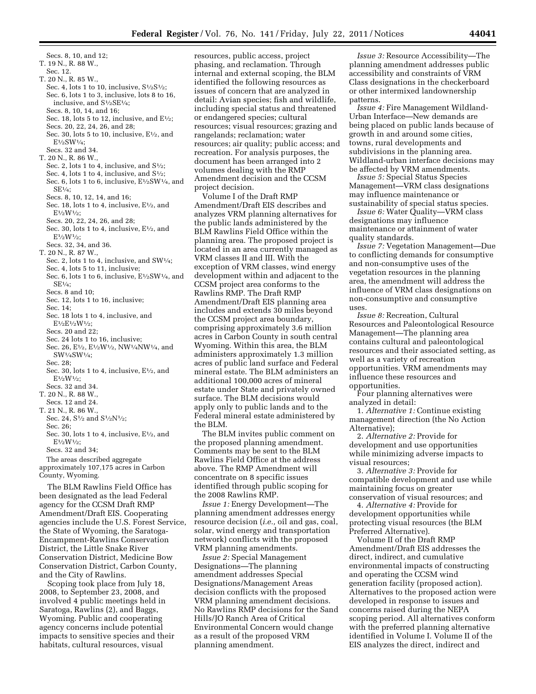Secs. 8, 10, and 12; T. 19 N., R. 88 W., Sec. 12. T. 20 N., R. 85 W., Sec. 4, lots 1 to 10, inclusive,  $S\frac{1}{2}S\frac{1}{2}$ ; Sec. 6, lots 1 to 3, inclusive, lots 8 to 16, inclusive, and S1⁄2SE1⁄4; Secs. 8, 10, 14, and 16; Sec. 18, lots 5 to 12, inclusive, and  $E\frac{1}{2}$ ; Secs. 20, 22, 24, 26, and 28; Sec. 30, lots 5 to 10, inclusive,  $E\frac{1}{2}$ , and E1⁄2SW1⁄4; Secs. 32 and 34. T. 20 N., R. 86 W., Sec. 2, lots 1 to 4, inclusive, and  $S\frac{1}{2}$ ; Sec. 4, lots 1 to 4, inclusive, and  $S\frac{1}{2}$ ; Sec. 6, lots 1 to 6, inclusive, E<sup>1</sup>/2SW<sup>1</sup>/4, and SE1⁄4; Secs. 8, 10, 12, 14, and 16; Sec. 18, lots 1 to 4, inclusive,  $E\frac{1}{2}$ , and E1⁄2W1⁄2; Secs. 20, 22, 24, 26, and 28; Sec. 30, lots 1 to 4, inclusive,  $E\frac{1}{2}$ , and  $E^{1/2}W^{1/2}$ ; Secs. 32, 34, and 36. T. 20 N., R. 87 W., Sec. 2, lots 1 to 4, inclusive, and SW1/4; Sec. 4, lots 5 to 11, inclusive; Sec. 6, lots 1 to 6, inclusive, E1⁄2SW1⁄4, and SE1⁄4; Secs. 8 and 10; Sec. 12, lots 1 to 16, inclusive; Sec. 14; Sec. 18 lots 1 to 4, inclusive, and E1⁄2E1⁄2W1⁄2; Secs. 20 and 22; Sec. 24 lots 1 to 16, inclusive; Sec. 26, E<sup>1</sup>/<sub>2</sub>, E<sup>1</sup>/<sub>2</sub>W<sup>1</sup>/<sub>2</sub>, NW<sup>1</sup>/<sub>4</sub>NW<sup>1</sup>/<sub>4</sub>, and SW1⁄4SW1⁄4; Sec. 28; Sec. 30, lots 1 to 4, inclusive,  $E\frac{1}{2}$ , and E1⁄2W1⁄2; Secs. 32 and 34. T. 20 N., R. 88 W., Secs. 12 and 24. T. 21 N., R. 86 W., Sec. 24, S<sup>1</sup>/<sub>2</sub> and S<sup>1</sup>/<sub>2</sub>N<sup>1</sup>/<sub>2</sub>; Sec. 26; Sec. 30, lots 1 to 4, inclusive,  $E\frac{1}{2}$ , and E1⁄2W1⁄2; Secs. 32 and 34;

The areas described aggregate approximately 107,175 acres in Carbon County, Wyoming.

The BLM Rawlins Field Office has been designated as the lead Federal agency for the CCSM Draft RMP Amendment/Draft EIS. Cooperating agencies include the U.S. Forest Service, the State of Wyoming, the Saratoga-Encampment-Rawlins Conservation District, the Little Snake River Conservation District, Medicine Bow Conservation District, Carbon County, and the City of Rawlins.

Scoping took place from July 18, 2008, to September 23, 2008, and involved 4 public meetings held in Saratoga, Rawlins (2), and Baggs, Wyoming. Public and cooperating agency concerns include potential impacts to sensitive species and their habitats, cultural resources, visual

resources, public access, project phasing, and reclamation. Through internal and external scoping, the BLM identified the following resources as issues of concern that are analyzed in detail: Avian species; fish and wildlife, including special status and threatened or endangered species; cultural resources; visual resources; grazing and rangelands; reclamation; water resources; air quality; public access; and recreation. For analysis purposes, the document has been arranged into 2 volumes dealing with the RMP Amendment decision and the CCSM project decision.

Volume I of the Draft RMP Amendment/Draft EIS describes and analyzes VRM planning alternatives for the public lands administered by the BLM Rawlins Field Office within the planning area. The proposed project is located in an area currently managed as VRM classes II and III. With the exception of VRM classes, wind energy development within and adjacent to the CCSM project area conforms to the Rawlins RMP. The Draft RMP Amendment/Draft EIS planning area includes and extends 30 miles beyond the CCSM project area boundary, comprising approximately 3.6 million acres in Carbon County in south central Wyoming. Within this area, the BLM administers approximately 1.3 million acres of public land surface and Federal mineral estate. The BLM administers an additional 100,000 acres of mineral estate under State and privately owned surface. The BLM decisions would apply only to public lands and to the Federal mineral estate administered by the BLM.

The BLM invites public comment on the proposed planning amendment. Comments may be sent to the BLM Rawlins Field Office at the address above. The RMP Amendment will concentrate on 8 specific issues identified through public scoping for the 2008 Rawlins RMP.

*Issue 1:* Energy Development—The planning amendment addresses energy resource decision (*i.e.,* oil and gas, coal, solar, wind energy and transportation network) conflicts with the proposed VRM planning amendments.

*Issue 2:* Special Management Designations—The planning amendment addresses Special Designations/Management Areas decision conflicts with the proposed VRM planning amendment decisions. No Rawlins RMP decisions for the Sand Hills/JO Ranch Area of Critical Environmental Concern would change as a result of the proposed VRM planning amendment.

*Issue 3:* Resource Accessibility—The planning amendment addresses public accessibility and constraints of VRM Class designations in the checkerboard or other intermixed landownership patterns.

*Issue 4:* Fire Management Wildland-Urban Interface—New demands are being placed on public lands because of growth in and around some cities, towns, rural developments and subdivisions in the planning area. Wildland-urban interface decisions may be affected by VRM amendments.

*Issue 5:* Special Status Species Management—VRM class designations may influence maintenance or sustainability of special status species.

*Issue 6:* Water Quality—VRM class designations may influence maintenance or attainment of water quality standards.

*Issue 7:* Vegetation Management—Due to conflicting demands for consumptive and non-consumptive uses of the vegetation resources in the planning area, the amendment will address the influence of VRM class designations on non-consumptive and consumptive uses.

*Issue 8:* Recreation, Cultural Resources and Paleontological Resource Management—The planning area contains cultural and paleontological resources and their associated setting, as well as a variety of recreation opportunities. VRM amendments may influence these resources and opportunities.

Four planning alternatives were analyzed in detail:

1. *Alternative 1:* Continue existing management direction (the No Action Alternative);

2. *Alternative 2:* Provide for development and use opportunities while minimizing adverse impacts to visual resources;

3. *Alternative 3:* Provide for compatible development and use while maintaining focus on greater conservation of visual resources; and

4. *Alternative 4:* Provide for development opportunities while protecting visual resources (the BLM Preferred Alternative).

Volume II of the Draft RMP Amendment/Draft EIS addresses the direct, indirect, and cumulative environmental impacts of constructing and operating the CCSM wind generation facility (proposed action). Alternatives to the proposed action were developed in response to issues and concerns raised during the NEPA scoping period. All alternatives conform with the preferred planning alternative identified in Volume I. Volume II of the EIS analyzes the direct, indirect and